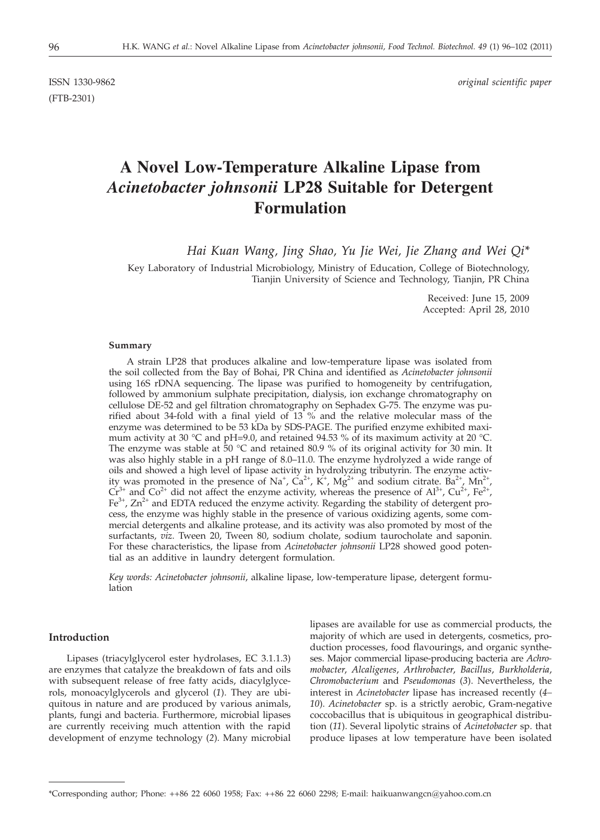ISSN 1330-9862 *original scientific paper*

# **A Novel Low-Temperature Alkaline Lipase from** *Acinetobacter johnsonii* **LP28 Suitable for Detergent Formulation**

*Hai Kuan Wang, Jing Shao, Yu Jie Wei, Jie Zhang and Wei Qi\**

Key Laboratory of Industrial Microbiology, Ministry of Education, College of Biotechnology, Tianjin University of Science and Technology, Tianjin, PR China

> Received: June 15, 2009 Accepted: April 28, 2010

#### **Summary**

A strain LP28 that produces alkaline and low-temperature lipase was isolated from the soil collected from the Bay of Bohai, PR China and identified as *Acinetobacter johnsonii* using 16S rDNA sequencing. The lipase was purified to homogeneity by centrifugation, followed by ammonium sulphate precipitation, dialysis, ion exchange chromatography on cellulose DE-52 and gel filtration chromatography on Sephadex G-75. The enzyme was purified about 34-fold with a final yield of 13 % and the relative molecular mass of the enzyme was determined to be 53 kDa by SDS-PAGE. The purified enzyme exhibited maximum activity at 30 °C and pH=9.0, and retained 94.53 % of its maximum activity at 20 °C. The enzyme was stable at 50  $\degree$ C and retained 80.9 % of its original activity for 30 min. It was also highly stable in a pH range of 8.0–11.0. The enzyme hydrolyzed a wide range of oils and showed a high level of lipase activity in hydrolyzing tributyrin. The enzyme activity was promoted in the presence of Na<sup>+</sup>, Ca<sup>2+</sup>, K<sup>+</sup>, Mg<sup>2+</sup> and sodium citrate. Ba<sup>2+</sup>, Mn<sup>2+</sup>,  $\text{Cr}^{3+}$  and  $\text{Co}^{2+}$  did not affect the enzyme activity, whereas the presence of  $\text{Al}^{3+}$ ,  $\text{Cu}^{2+}$ ,  $\text{Fe}^{2+}$ ,  $\text{Fe}^{3+}$ , Zn<sup>2+</sup> and EDTA reduced the enzyme activity. Regarding the stability of detergent process, the enzyme was highly stable in the presence of various oxidizing agents, some commercial detergents and alkaline protease, and its activity was also promoted by most of the surfactants, *viz*. Tween 20, Tween 80, sodium cholate, sodium taurocholate and saponin. For these characteristics, the lipase from *Acinetobacter johnsonii* LP28 showed good potential as an additive in laundry detergent formulation.

*Key words: Acinetobacter johnsonii*, alkaline lipase, low-temperature lipase, detergent formulation

#### **Introduction**

Lipases (triacylglycerol ester hydrolases, EC 3.1.1.3) are enzymes that catalyze the breakdown of fats and oils with subsequent release of free fatty acids, diacylglycerols, monoacylglycerols and glycerol (*1*). They are ubiquitous in nature and are produced by various animals, plants, fungi and bacteria. Furthermore, microbial lipases are currently receiving much attention with the rapid development of enzyme technology (*2*). Many microbial lipases are available for use as commercial products, the majority of which are used in detergents, cosmetics, production processes, food flavourings, and organic syntheses. Major commercial lipase-producing bacteria are *Achromobacter*, *Alcaligenes*, *Arthrobacter*, *Bacillus*, *Burkholderia*, *Chromobacterium* and *Pseudomonas* (*3*). Nevertheless, the interest in *Acinetobacter* lipase has increased recently (*4– 10*). *Acinetobacter* sp. is a strictly aerobic, Gram-negative coccobacillus that is ubiquitous in geographical distribution (*11*). Several lipolytic strains of *Acinetobacter* sp. that produce lipases at low temperature have been isolated

<sup>\*</sup>Corresponding author; Phone: ++86 22 6060 1958; Fax: ++86 22 6060 2298; E-mail: haikuanwangcn@yahoo.com.cn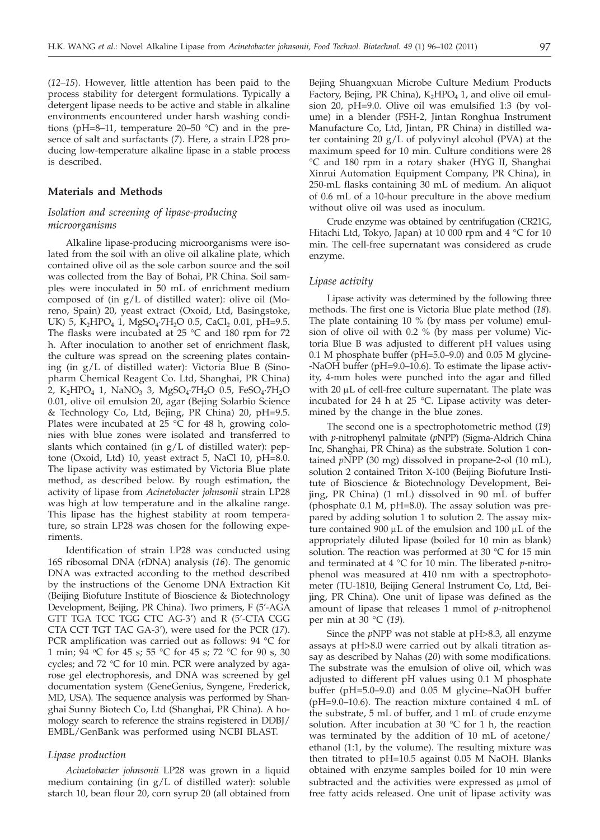(*12–15*). However, little attention has been paid to the process stability for detergent formulations. Typically a detergent lipase needs to be active and stable in alkaline environments encountered under harsh washing conditions (pH=8–11, temperature 20–50 °C) and in the presence of salt and surfactants (*7*). Here, a strain LP28 producing low-temperature alkaline lipase in a stable process is described.

## **Materials and Methods**

# *Isolation and screening of lipase-producing microorganisms*

Alkaline lipase-producing microorganisms were isolated from the soil with an olive oil alkaline plate, which contained olive oil as the sole carbon source and the soil was collected from the Bay of Bohai, PR China. Soil samples were inoculated in 50 mL of enrichment medium composed of (in g/L of distilled water): olive oil (Moreno, Spain) 20, yeast extract (Oxoid, Ltd, Basingstoke, UK) 5, K<sub>2</sub>HPO<sub>4</sub> 1, MgSO<sub>4</sub>·7H<sub>2</sub>O 0.5, CaCl<sub>2</sub> 0.01, pH=9.5. The flasks were incubated at 25 °C and 180 rpm for 72 h. After inoculation to another set of enrichment flask, the culture was spread on the screening plates containing (in g/L of distilled water): Victoria Blue B (Sinopharm Chemical Reagent Co. Ltd, Shanghai, PR China) 2, K<sub>2</sub>HPO<sub>4</sub> 1, NaNO<sub>3</sub> 3, MgSO<sub>4</sub>·7H<sub>2</sub>O 0.5, FeSO<sub>4</sub>·7H<sub>2</sub>O 0.01, olive oil emulsion 20, agar (Bejing Solarbio Science & Technology Co, Ltd, Bejing, PR China) 20, pH=9.5. Plates were incubated at  $25 \text{ °C}$  for 48 h, growing colonies with blue zones were isolated and transferred to slants which contained (in g/L of distilled water): peptone (Oxoid, Ltd) 10, yeast extract 5, NaCl 10, pH=8.0. The lipase activity was estimated by Victoria Blue plate method, as described below. By rough estimation, the activity of lipase from *Acinetobacter johnsonii* strain LP28 was high at low temperature and in the alkaline range. This lipase has the highest stability at room temperature, so strain LP28 was chosen for the following experiments.

Identification of strain LP28 was conducted using 16S ribosomal DNA (rDNA) analysis (*16*). The genomic DNA was extracted according to the method described by the instructions of the Genome DNA Extraction Kit (Beijing Biofuture Institute of Bioscience & Biotechnology Development, Beijing, PR China). Two primers, F (5'-AGA GTT TGA TCC TGG CTC AG-3') and R (5'-CTA CGG CTA CCT TGT TAC GA-3'), were used for the PCR (*17*). PCR amplification was carried out as follows: 94 °C for 1 min; 94 °C for 45 s; 55 °C for 45 s; 72 °C for 90 s, 30 cycles; and 72 °C for 10 min. PCR were analyzed by agarose gel electrophoresis, and DNA was screened by gel documentation system (GeneGenius, Syngene, Frederick, MD, USA). The sequence analysis was performed by Shanghai Sunny Biotech Co, Ltd (Shanghai, PR China). A homology search to reference the strains registered in DDBJ/ EMBL/GenBank was performed using NCBI BLAST.

## *Lipase production*

*Acinetobacter johnsonii* LP28 was grown in a liquid medium containing (in  $g/L$  of distilled water): soluble starch 10, bean flour 20, corn syrup 20 (all obtained from

Bejing Shuangxuan Microbe Culture Medium Products Factory, Bejing, PR China),  $K_2HPO_4$  1, and olive oil emulsion 20, pH=9.0. Olive oil was emulsified 1:3 (by volume) in a blender (FSH-2, Jintan Ronghua Instrument Manufacture Co, Ltd, Jintan, PR China) in distilled water containing 20 g/L of polyvinyl alcohol (PVA) at the maximum speed for 10 min. Culture conditions were 28 °C and 180 rpm in a rotary shaker (HYG II, Shanghai Xinrui Automation Equipment Company, PR China), in 250-mL flasks containing 30 mL of medium. An aliquot of 0.6 mL of a 10-hour preculture in the above medium without olive oil was used as inoculum.

Crude enzyme was obtained by centrifugation (CR21G, Hitachi Ltd, Tokyo, Japan) at 10 000 rpm and 4 °C for 10 min. The cell-free supernatant was considered as crude enzyme.

#### *Lipase activity*

Lipase activity was determined by the following three methods. The first one is Victoria Blue plate method (*18*). The plate containing 10 % (by mass per volume) emulsion of olive oil with 0.2 % (by mass per volume) Victoria Blue B was adjusted to different pH values using 0.1 M phosphate buffer (pH= $5.0-9.0$ ) and 0.05 M glycine--NaOH buffer (pH=9.0–10.6). To estimate the lipase activity, 4-mm holes were punched into the agar and filled with  $20 \mu L$  of cell-free culture supernatant. The plate was incubated for 24 h at 25 °C. Lipase activity was determined by the change in the blue zones.

The second one is a spectrophotometric method (*19*) with *p*-nitrophenyl palmitate (*p*NPP) (Sigma-Aldrich China Inc, Shanghai, PR China) as the substrate. Solution 1 contained *p*NPP (30 mg) dissolved in propane-2-ol (10 mL), solution 2 contained Triton X-100 (Beijing Biofuture Institute of Bioscience & Biotechnology Development, Beijing, PR China) (1 mL) dissolved in 90 mL of buffer (phosphate 0.1 M, pH=8.0). The assay solution was prepared by adding solution 1 to solution 2. The assay mixture contained 900  $\mu$ L of the emulsion and 100  $\mu$ L of the appropriately diluted lipase (boiled for 10 min as blank) solution. The reaction was performed at 30 °C for 15 min and terminated at 4 °C for 10 min. The liberated *p*-nitrophenol was measured at 410 nm with a spectrophotometer (TU-1810, Beijing General Instrument Co, Ltd, Beijing, PR China). One unit of lipase was defined as the amount of lipase that releases 1 mmol of *p*-nitrophenol per min at 30 °C (*19*).

Since the *pNPP* was not stable at *pH>8.3*, all enzyme assays at pH>8.0 were carried out by alkali titration assay as described by Nahas (*20*) with some modifications. The substrate was the emulsion of olive oil, which was adjusted to different pH values using 0.1 M phosphate buffer (pH=5.0–9.0) and 0.05 M glycine–NaOH buffer (pH=9.0–10.6). The reaction mixture contained 4 mL of the substrate, 5 mL of buffer, and 1 mL of crude enzyme solution. After incubation at 30 °C for 1 h, the reaction was terminated by the addition of 10 mL of acetone/ ethanol (1:1, by the volume). The resulting mixture was then titrated to pH=10.5 against 0.05 M NaOH. Blanks obtained with enzyme samples boiled for 10 min were subtracted and the activities were expressed as  $\mu$ mol of free fatty acids released. One unit of lipase activity was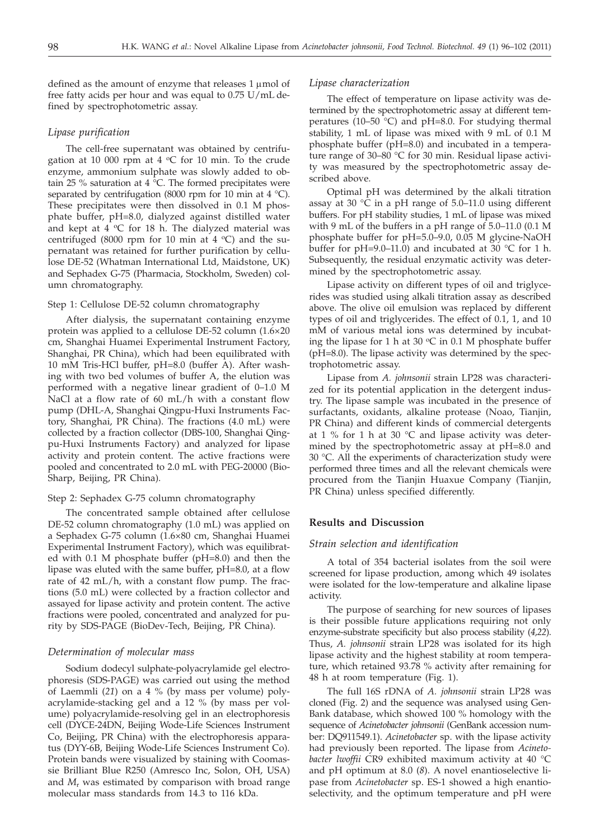defined as the amount of enzyme that releases  $1 \mu$ mol of free fatty acids per hour and was equal to 0.75 U/mL defined by spectrophotometric assay.

#### *Lipase purification*

The cell-free supernatant was obtained by centrifugation at 10 000 rpm at 4  $\rm{°C}$  for 10 min. To the crude enzyme, ammonium sulphate was slowly added to obtain 25 % saturation at 4  $\degree$ C. The formed precipitates were separated by centrifugation (8000 rpm for 10 min at 4 °C). These precipitates were then dissolved in 0.1 M phosphate buffer, pH=8.0, dialyzed against distilled water and kept at  $4^{\circ}$ C for 18 h. The dialyzed material was centrifuged (8000 rpm for 10 min at 4  $^{\circ}$ C) and the supernatant was retained for further purification by cellulose DE-52 (Whatman International Ltd, Maidstone, UK) and Sephadex G-75 (Pharmacia, Stockholm, Sweden) column chromatography.

#### Step 1: Cellulose DE-52 column chromatography

After dialysis, the supernatant containing enzyme protein was applied to a cellulose DE-52 column (1.6×20 cm, Shanghai Huamei Experimental Instrument Factory, Shanghai, PR China), which had been equilibrated with 10 mM Tris-HCl buffer, pH=8.0 (buffer A). After washing with two bed volumes of buffer A, the elution was performed with a negative linear gradient of 0–1.0 M NaCl at a flow rate of 60 mL/h with a constant flow pump (DHL-A, Shanghai Qingpu-Huxi Instruments Factory, Shanghai, PR China). The fractions (4.0 mL) were collected by a fraction collector (DBS-100, Shanghai Qingpu-Huxi Instruments Factory) and analyzed for lipase activity and protein content. The active fractions were pooled and concentrated to 2.0 mL with PEG-20000 (Bio-Sharp, Beijing, PR China).

#### Step 2: Sephadex G-75 column chromatography

The concentrated sample obtained after cellulose DE-52 column chromatography (1.0 mL) was applied on a Sephadex G-75 column (1.6×80 cm, Shanghai Huamei Experimental Instrument Factory), which was equilibrated with 0.1 M phosphate buffer (pH=8.0) and then the lipase was eluted with the same buffer, pH=8.0, at a flow rate of 42 mL/h, with a constant flow pump. The fractions (5.0 mL) were collected by a fraction collector and assayed for lipase activity and protein content. The active fractions were pooled, concentrated and analyzed for purity by SDS-PAGE (BioDev-Tech, Beijing, PR China).

#### *Determination of molecular mass*

Sodium dodecyl sulphate-polyacrylamide gel electrophoresis (SDS-PAGE) was carried out using the method of Laemmli (*21*) on a 4 % (by mass per volume) polyacrylamide-stacking gel and a 12 % (by mass per volume) polyacrylamide-resolving gel in an electrophoresis cell (DYCE-24DN, Beijing Wode-Life Sciences Instrument Co, Beijing, PR China) with the electrophoresis apparatus (DYY-6B, Beijing Wode-Life Sciences Instrument Co). Protein bands were visualized by staining with Coomassie Brilliant Blue R250 (Amresco Inc, Solon, OH, USA) and *M*<sup>r</sup> was estimated by comparison with broad range molecular mass standards from 14.3 to 116 kDa.

#### *Lipase characterization*

The effect of temperature on lipase activity was determined by the spectrophotometric assay at different temperatures (10–50 $^{\circ}$ C) and pH=8.0. For studying thermal stability, 1 mL of lipase was mixed with 9 mL of 0.1 M phosphate buffer (pH=8.0) and incubated in a temperature range of 30–80 °C for 30 min. Residual lipase activity was measured by the spectrophotometric assay described above.

Optimal pH was determined by the alkali titration assay at 30  $\degree$ C in a pH range of 5.0–11.0 using different buffers. For pH stability studies, 1 mL of lipase was mixed with 9 mL of the buffers in a pH range of 5.0–11.0 (0.1 M phosphate buffer for pH=5.0–9.0, 0.05 M glycine-NaOH buffer for pH=9.0–11.0) and incubated at  $30^{\circ}$ C for 1 h. Subsequently, the residual enzymatic activity was determined by the spectrophotometric assay.

Lipase activity on different types of oil and triglycerides was studied using alkali titration assay as described above. The olive oil emulsion was replaced by different types of oil and triglycerides. The effect of 0.1, 1, and 10 mM of various metal ions was determined by incubating the lipase for 1 h at 30  $\degree$ C in 0.1 M phosphate buffer (pH=8.0). The lipase activity was determined by the spectrophotometric assay.

Lipase from *A. johnsonii* strain LP28 was characterized for its potential application in the detergent industry. The lipase sample was incubated in the presence of surfactants, oxidants, alkaline protease (Noao, Tianjin, PR China) and different kinds of commercial detergents at 1 % for 1 h at 30 °C and lipase activity was determined by the spectrophotometric assay at pH=8.0 and 30 °C. All the experiments of characterization study were performed three times and all the relevant chemicals were procured from the Tianjin Huaxue Company (Tianjin, PR China) unless specified differently.

# **Results and Discussion**

#### *Strain selection and identification*

A total of 354 bacterial isolates from the soil were screened for lipase production, among which 49 isolates were isolated for the low-temperature and alkaline lipase activity.

The purpose of searching for new sources of lipases is their possible future applications requiring not only enzyme-substrate specificity but also process stability (*4,22*). Thus, *A. johnsonii* strain LP28 was isolated for its high lipase activity and the highest stability at room temperature, which retained 93.78 % activity after remaining for 48 h at room temperature (Fig. 1).

The full 16S rDNA of *A. johnsonii* strain LP28 was cloned (Fig. 2) and the sequence was analysed using Gen-Bank database, which showed 100 % homology with the sequence of *Acinetobacter johnsonii* (GenBank accession number: DQ911549.1). *Acinetobacter* sp. with the lipase activity had previously been reported. The lipase from *Acinetobacter lwoffii* CR9 exhibited maximum activity at 40 °C and pH optimum at 8.0 (*8*). A novel enantioselective lipase from *Acinetobacter* sp. ES-1 showed a high enantioselectivity, and the optimum temperature and pH were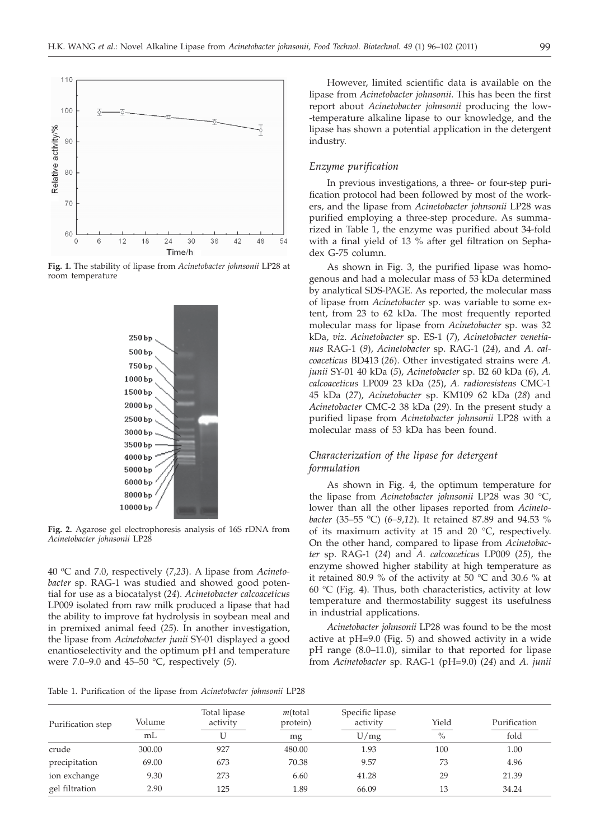

**Fig. 1.** The stability of lipase from *Acinetobacter johnsonii* LP28 at room temperature



**Fig. 2.** Agarose gel electrophoresis analysis of 16S rDNA from *Acinetobacter johnsonii* LP28

40 oC and 7.0, respectively (*7,23*). A lipase from *Acinetobacter* sp. RAG-1 was studied and showed good potential for use as a biocatalyst (*24*). *Acinetobacter calcoaceticus* LP009 isolated from raw milk produced a lipase that had the ability to improve fat hydrolysis in soybean meal and in premixed animal feed (*25*). In another investigation, the lipase from *Acinetobacter junii* SY-01 displayed a good enantioselectivity and the optimum pH and temperature were 7.0–9.0 and 45–50 °C, respectively (*5*).

However, limited scientific data is available on the lipase from *Acinetobacter johnsonii*. This has been the first report about *Acinetobacter johnsonii* producing the low- -temperature alkaline lipase to our knowledge, and the lipase has shown a potential application in the detergent industry.

# *Enzyme purification*

In previous investigations, a three- or four-step purification protocol had been followed by most of the workers, and the lipase from *Acinetobacter johnsonii* LP28 was purified employing a three-step procedure. As summarized in Table 1, the enzyme was purified about 34-fold with a final yield of 13 % after gel filtration on Sephadex G-75 column.

As shown in Fig. 3, the purified lipase was homogenous and had a molecular mass of 53 kDa determined by analytical SDS-PAGE. As reported, the molecular mass of lipase from *Acinetobacter* sp. was variable to some extent, from 23 to 62 kDa. The most frequently reported molecular mass for lipase from *Acinetobacter* sp. was 32 kDa, *viz*. *Acinetobacter* sp. ES-1 (*7*), *Acinetobacter venetianus* RAG-1 (*9*), *Acinetobacter* sp. RAG-1 (*24*), and *A*. *calcoaceticus* BD413 (*26*). Other investigated strains were *A. junii* SY-01 40 kDa (*5*), *Acinetobacter* sp. B2 60 kDa (*6*), *A. calcoaceticus* LP009 23 kDa (*25*), *A. radioresistens* CMC-1 45 kDa (*27*), *Acinetobacter* sp. KM109 62 kDa (*28*) and *Acinetobacter* CMC-2 38 kDa (*29*). In the present study a purified lipase from *Acinetobacter johnsonii* LP28 with a molecular mass of 53 kDa has been found.

# *Characterization of the lipase for detergent formulation*

As shown in Fig. 4, the optimum temperature for the lipase from *Acinetobacter johnsonii* LP28 was 30 °C, lower than all the other lipases reported from *Acineto*bacter (35–55 °C) (6–9,12). It retained 87.89 and 94.53 % of its maximum activity at 15 and 20 °C, respectively. On the other hand, compared to lipase from *Acinetobacter* sp. RAG-1 (*24*) and *A. calcoaceticus* LP009 (*25*), the enzyme showed higher stability at high temperature as it retained 80.9 % of the activity at 50 °C and 30.6 % at 60  $\degree$ C (Fig. 4). Thus, both characteristics, activity at low temperature and thermostability suggest its usefulness in industrial applications.

*Acinetobacter johnsonii* LP28 was found to be the most active at pH=9.0 (Fig. 5) and showed activity in a wide pH range (8.0–11.0), similar to that reported for lipase from *Acinetobacter* sp. RAG-1 (pH=9.0) (*24*) and *A. junii*

Table 1. Purification of the lipase from *Acinetobacter johnsonii* LP28

| Purification step | Volume | Total lipase<br>activity | <i>m</i> (total<br>protein) | Specific lipase<br>activity | Yield<br>$\frac{0}{0}$ | Purification<br>fold |
|-------------------|--------|--------------------------|-----------------------------|-----------------------------|------------------------|----------------------|
|                   | mL     |                          | mg                          | U/mg                        |                        |                      |
| crude             | 300.00 | 927                      | 480.00                      | 1.93                        | 100                    | 1.00                 |
| precipitation     | 69.00  | 673                      | 70.38                       | 9.57                        | 73                     | 4.96                 |
| ion exchange      | 9.30   | 273                      | 6.60                        | 41.28                       | 29                     | 21.39                |
| gel filtration    | 2.90   | 125                      | 1.89                        | 66.09                       | 13                     | 34.24                |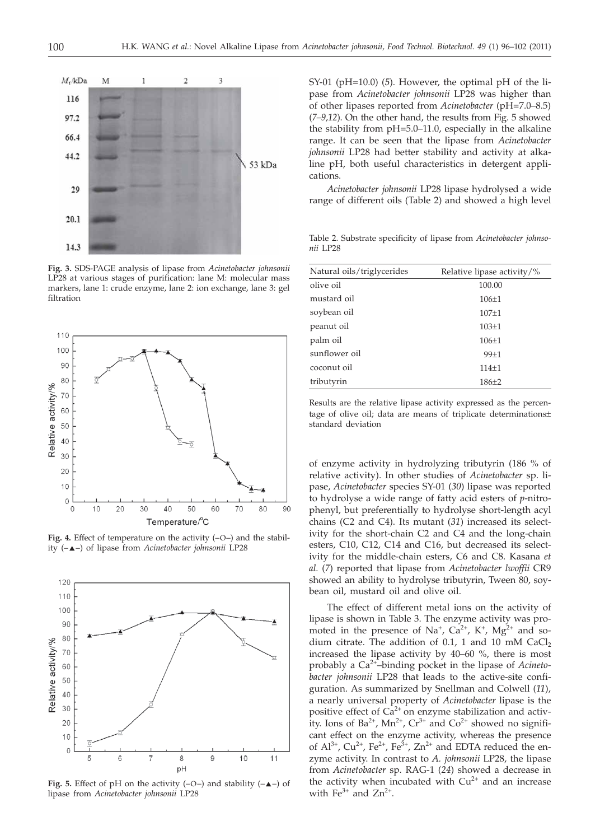

**Fig. 3.** SDS-PAGE analysis of lipase from *Acinetobacter johnsonii* LP28 at various stages of purification: lane M: molecular mass markers, lane 1: crude enzyme, lane 2: ion exchange, lane 3: gel filtration



**Fig. 4.** Effect of temperature on the activity  $(-O-)$  and the stability (–-–) of lipase from *Acinetobacter johnsonii* LP28



**Fig. 5.** Effect of pH on the activity  $(-O-)$  and stability  $(-\triangle -)$  of lipase from *Acinetobacter johnsonii* LP28

SY-01 (pH=10.0) (*5*). However, the optimal pH of the lipase from *Acinetobacter johnsonii* LP28 was higher than of other lipases reported from *Acinetobacter* (pH=7.0–8.5) (*7–9,12*). On the other hand, the results from Fig. 5 showed the stability from pH=5.0–11.0, especially in the alkaline range. It can be seen that the lipase from *Acinetobacter johnsonii* LP28 had better stability and activity at alkaline pH, both useful characteristics in detergent applications.

*Acinetobacter johnsonii* LP28 lipase hydrolysed a wide range of different oils (Table 2) and showed a high level

Table 2. Substrate specificity of lipase from *Acinetobacter johnsonii* LP28

| 100.00      |
|-------------|
| $106 \pm 1$ |
| $107+1$     |
| $103 + 1$   |
| $106 \pm 1$ |
| $99+1$      |
| $114+1$     |
| $186 + 2$   |
|             |

Results are the relative lipase activity expressed as the percentage of olive oil; data are means of triplicate determinations± standard deviation

of enzyme activity in hydrolyzing tributyrin (186 % of relative activity). In other studies of *Acinetobacter* sp. lipase, *Acinetobacter* species SY-01 (*30*) lipase was reported to hydrolyse a wide range of fatty acid esters of *p*-nitrophenyl, but preferentially to hydrolyse short-length acyl chains (C2 and C4). Its mutant (*31*) increased its selectivity for the short-chain C2 and C4 and the long-chain esters, C10, C12, C14 and C16, but decreased its selectivity for the middle-chain esters, C6 and C8. Kasana *et al.* (*7*) reported that lipase from *Acinetobacter lwoffii* CR9 showed an ability to hydrolyse tributyrin, Tween 80, soybean oil, mustard oil and olive oil.

The effect of different metal ions on the activity of lipase is shown in Table 3. The enzyme activity was promoted in the presence of Na<sup>+</sup>, Ca<sup>2+</sup>, K<sup>+</sup>, Mg<sup>2+</sup> and sodium citrate. The addition of 0.1, 1 and 10 mM  $CaCl<sub>2</sub>$ increased the lipase activity by 40–60 %, there is most probably a Ca2+–binding pocket in the lipase of *Acinetobacter johnsonii* LP28 that leads to the active-site configuration. As summarized by Snellman and Colwell (*11*), a nearly universal property of *Acinetobacter* lipase is the positive effect of  $Ca^{2+}$  on enzyme stabilization and activity. Ions of Ba<sup>2+</sup>, Mn<sup>2+</sup>, Cr<sup>3+</sup> and Co<sup>2+</sup> showed no significant effect on the enzyme activity, whereas the presence of  $Al^{3+}$ ,  $Cu^{2+}$ ,  $Fe^{2+}$ ,  $Fe^{3+}$ ,  $Zn^{2+}$  and EDTA reduced the enzyme activity. In contrast to *A. johnsonii* LP28, the lipase from *Acinetobacter* sp. RAG-1 (*24*) showed a decrease in the activity when incubated with  $Cu^{2+}$  and an increase with  $Fe^{3+}$  and  $Zn^{2+}$ .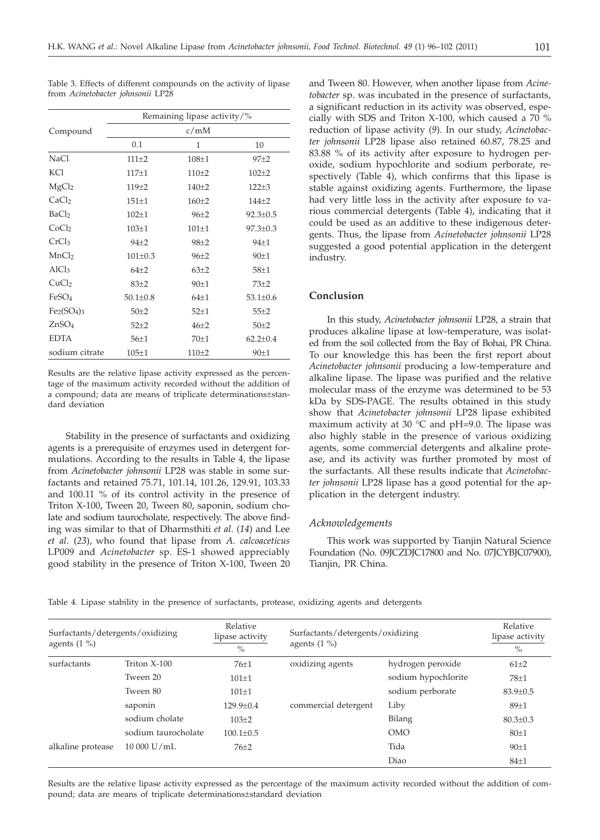| - - | ×<br>٠ | - - |  |
|-----|--------|-----|--|
|     |        |     |  |

|                          | Remaining lipase activity/% |              |                |  |  |
|--------------------------|-----------------------------|--------------|----------------|--|--|
| Compound                 |                             | c/mM         |                |  |  |
|                          | 0.1                         | $\mathbf{1}$ | 10             |  |  |
| NaCl                     | $111 + 2$                   | $108 + 1$    | $97 + 2$       |  |  |
| <b>KCl</b>               | $117+1$                     | $110+2$      | $102 + 2$      |  |  |
| MgCl <sub>2</sub>        | $119 + 2$                   | $140 + 2$    | $122 + 3$      |  |  |
| CaCl <sub>2</sub>        | $151+1$                     | $160 + 2$    | $144 + 2$      |  |  |
| <b>BaCl</b> <sub>2</sub> | $102 + 1$                   | $96 + 2$     | $92.3 \pm 0.5$ |  |  |
| CoCl <sub>2</sub>        | $103 + 1$                   | $101 + 1$    | $97.3 \pm 0.3$ |  |  |
| CrCl <sub>3</sub>        | $94 + 2$                    | $98 + 2$     | $94 + 1$       |  |  |
| MnCl <sub>2</sub>        | $101 \pm 0.3$               | $96 + 2$     | 90±1           |  |  |
| AlCl <sub>3</sub>        | $64+2$                      | $63+2$       | $58 + 1$       |  |  |
| CuCl <sub>2</sub>        | $83+2$                      | $90+1$       | $73+2$         |  |  |
| FeSO <sub>4</sub>        | $50.1 + 0.8$                | $64+1$       | $53.1 \pm 0.6$ |  |  |
| $Fe2(SO4)3$              | $50\pm2$                    | $52 + 1$     | $55 + 2$       |  |  |
| ZnSO <sub>4</sub>        | $52 + 2$                    | $46 + 2$     | $50 + 2$       |  |  |
| <b>EDTA</b>              | $56 \pm 1$                  | $70 + 1$     | $62.2 + 0.4$   |  |  |
| sodium citrate           | $105 \pm 1$                 | $110+2$      | 90±1           |  |  |

Table 3. Effects of different compounds on the activity of lipase from *Acinetobacter johnsonii* LP28

Results are the relative lipase activity expressed as the percentage of the maximum activity recorded without the addition of a compound; data are means of triplicate determinations±standard deviation

Stability in the presence of surfactants and oxidizing agents is a prerequisite of enzymes used in detergent formulations. According to the results in Table 4, the lipase from *Acinetobacter johnsonii* LP28 was stable in some surfactants and retained 75.71, 101.14, 101.26, 129.91, 103.33 and 100.11 % of its control activity in the presence of Triton X-100, Tween 20, Tween 80, saponin, sodium cholate and sodium taurocholate, respectively. The above finding was similar to that of Dharmsthiti *et al*. (*14*) and Lee *et al*. (*23*), who found that lipase from *A. calcoaceticus* LP009 and *Acinetobacter* sp. ES-1 showed appreciably good stability in the presence of Triton X-100, Tween 20

and Tween 80. However, when another lipase from *Acinetobacter* sp. was incubated in the presence of surfactants, a significant reduction in its activity was observed, especially with SDS and Triton X-100, which caused a 70 % reduction of lipase activity (*9*). In our study, *Acinetobacter johnsonii* LP28 lipase also retained 60.87, 78.25 and 83.88 % of its activity after exposure to hydrogen peroxide, sodium hypochlorite and sodium perborate, respectively (Table 4), which confirms that this lipase is stable against oxidizing agents. Furthermore, the lipase had very little loss in the activity after exposure to various commercial detergents (Table 4), indicating that it could be used as an additive to these indigenous detergents. Thus, the lipase from *Acinetobacter johnsonii* LP28 suggested a good potential application in the detergent industry.

# **Conclusion**

In this study, *Acinetobacter johnsonii* LP28, a strain that produces alkaline lipase at low-temperature, was isolated from the soil collected from the Bay of Bohai, PR China. To our knowledge this has been the first report about *Acinetobacter johnsonii* producing a low-temperature and alkaline lipase. The lipase was purified and the relative molecular mass of the enzyme was determined to be 53 kDa by SDS-PAGE. The results obtained in this study show that *Acinetobacter johnsonii* LP28 lipase exhibited maximum activity at 30 °C and pH=9.0. The lipase was also highly stable in the presence of various oxidizing agents, some commercial detergents and alkaline protease, and its activity was further promoted by most of the surfactants. All these results indicate that *Acinetobacter johnsonii* LP28 lipase has a good potential for the application in the detergent industry.

# *Acknowledgements*

This work was supported by Tianjin Natural Science Foundation (No. 09JCZDJC17800 and No. 07JCYBJC07900), Tianjin, PR China.

Table 4. Lipase stability in the presence of surfactants, protease, oxidizing agents and detergents

| Surfactants/detergents/oxidizing<br>agents $(1\%)$ |                     | Relative<br>lipase activity<br>$\%$ | Surfactants/detergents/oxidizing<br>agents $(1\%)$ |                     | Relative<br>lipase activity<br>$\%$ |
|----------------------------------------------------|---------------------|-------------------------------------|----------------------------------------------------|---------------------|-------------------------------------|
| surfactants                                        | Triton $X-100$      | $76 + 1$                            | oxidizing agents                                   | hydrogen peroxide   | $61 \pm 2$                          |
|                                                    | Tween 20            | $101+1$                             |                                                    | sodium hypochlorite | $78 + 1$                            |
|                                                    | Tween 80            | $101+1$                             |                                                    | sodium perborate    | $83.9 \pm 0.5$                      |
|                                                    | saponin             | $129.9 \pm 0.4$                     | commercial detergent                               | Liby                | 89±1                                |
|                                                    | sodium cholate      | $103+2$                             |                                                    | Bilang              | $80.3 \pm 0.3$                      |
|                                                    | sodium taurocholate | $100.1 + 0.5$                       |                                                    | OMO                 | 80±1                                |
| alkaline protease                                  | 10 000 U/mL         | $76 + 2$                            |                                                    | Tida                | 90±1                                |
|                                                    |                     |                                     |                                                    | Diao                | $84\pm1$                            |

Results are the relative lipase activity expressed as the percentage of the maximum activity recorded without the addition of compound; data are means of triplicate determinations±standard deviation